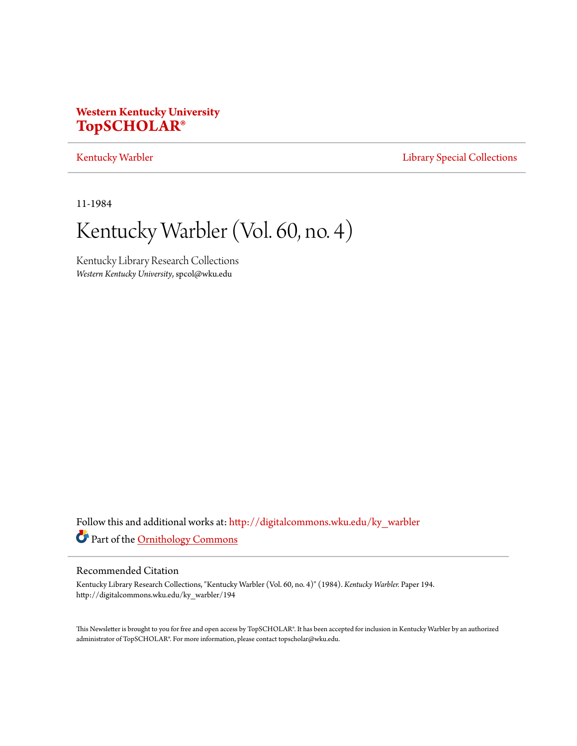### **Western Kentucky University [TopSCHOLAR®](http://digitalcommons.wku.edu?utm_source=digitalcommons.wku.edu%2Fky_warbler%2F194&utm_medium=PDF&utm_campaign=PDFCoverPages)**

#### [Kentucky Warbler](http://digitalcommons.wku.edu/ky_warbler?utm_source=digitalcommons.wku.edu%2Fky_warbler%2F194&utm_medium=PDF&utm_campaign=PDFCoverPages) **[Library Special Collections](http://digitalcommons.wku.edu/dlsc?utm_source=digitalcommons.wku.edu%2Fky_warbler%2F194&utm_medium=PDF&utm_campaign=PDFCoverPages)**

11-1984

## Kentucky Warbler (Vol. 60, no. 4)

Kentucky Library Research Collections *Western Kentucky University*, spcol@wku.edu

Follow this and additional works at: [http://digitalcommons.wku.edu/ky\\_warbler](http://digitalcommons.wku.edu/ky_warbler?utm_source=digitalcommons.wku.edu%2Fky_warbler%2F194&utm_medium=PDF&utm_campaign=PDFCoverPages) Part of the [Ornithology Commons](http://network.bepress.com/hgg/discipline/1190?utm_source=digitalcommons.wku.edu%2Fky_warbler%2F194&utm_medium=PDF&utm_campaign=PDFCoverPages)

#### Recommended Citation

Kentucky Library Research Collections, "Kentucky Warbler (Vol. 60, no. 4)" (1984). *Kentucky Warbler.* Paper 194. http://digitalcommons.wku.edu/ky\_warbler/194

This Newsletter is brought to you for free and open access by TopSCHOLAR®. It has been accepted for inclusion in Kentucky Warbler by an authorized administrator of TopSCHOLAR®. For more information, please contact topscholar@wku.edu.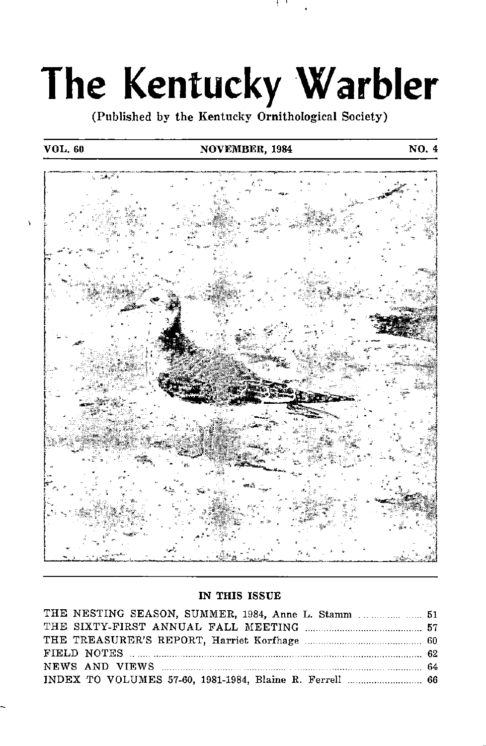# The Kentucky Warbler

(Published by the Kentucky Ornithological Society)

#### VOL. 60 NOVEMBER, 1984 NO. 4



#### IN THIS ISSUE

| THE NESTING SEASON, SUMMER, 1984, Anne L. Stamm  51      |  |
|----------------------------------------------------------|--|
|                                                          |  |
|                                                          |  |
|                                                          |  |
|                                                          |  |
| INDEX TO VOLUMES 57-60, 1981-1984, Blaine R. Ferrell  66 |  |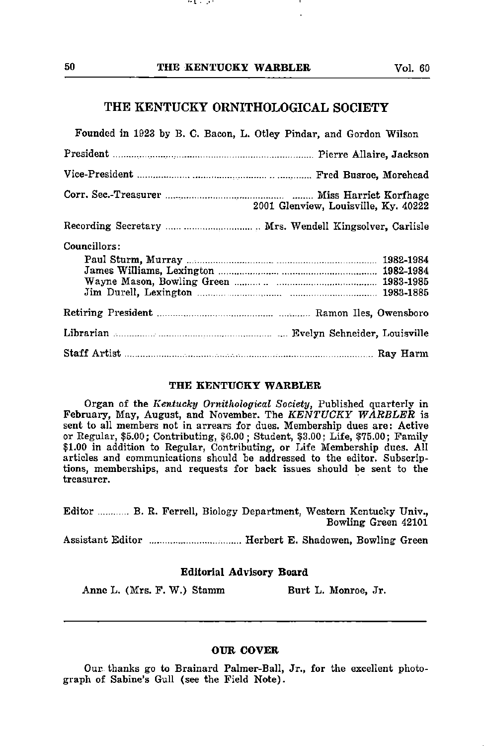77 L. L. J. T

#### THE KENTUCKY ORNITHOLOGICAL SOCIETY

| Founded in 1923 by B. C. Bacon, L. Otley Pindar, and Gordon Wilson |                                      |
|--------------------------------------------------------------------|--------------------------------------|
|                                                                    |                                      |
|                                                                    |                                      |
|                                                                    | 2001 Glenview, Louisville, Ky. 40222 |
|                                                                    |                                      |
| Councillors:                                                       |                                      |
|                                                                    |                                      |
| Librarian Museum Museum Museum and Evelyn Schneider, Louisville    |                                      |
|                                                                    |                                      |

#### THE KENTUCKY WARBLER

Organ of the Kentucky Ornithological Society, Published quarterly in February, May, August, and November. The KENTUCKY WARBLER is sent to all members not in arrears for dues. Membership dues are: Active or Regular, \$5.00; Contributing, \$6.00; Student, \$3.00; Life, \$75.00; Family \$1.00 in addition to Regular, Contributing, or Life Membership dues. All articles and communications should be addressed to the editor. Subscrip tions, memberships, and requests for back issues should be sent to the treasurer.

Editor ............ B. R. Ferrell, Biology Department, Western Kentucky Univ., Bowling Green 42101

Assistant Editor ................................... Herbert E. Shadowen, Bowling Green

#### Editorial Advisory Board

Anne L. (Mrs. F. W.) Stamm Burt L. Monroe, Jr.

#### OUR COVER

Our. thanks go to Brainard Palmer-Ball, Jr., for the excellent photo graph of Sabine's Gull (see the Field Note).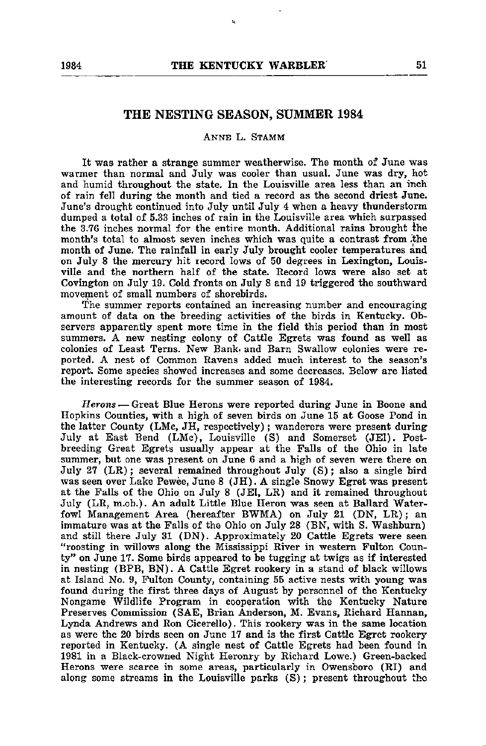#### THE NESTING SEASON, SUMMER 1984

#### Anne L. Stamm

It was rather a strange summer weatherwise. The month of June was warmer than normal and July was cooler than usual. June was dry, hot and humid throughout the state. In the Louisville area less than an inch of rain fell during the month and tied a record as the second driest June. June's drought continued into July until July 4 when a heavy thunderstorm dumped a total of 5.33 inches of rain in the Louisville area which surpassed the 3.76 inches normal for the entire month. Additional rains brought the month's total to almost seven inches which was quite a contrast from ,the month of June. The rainfall in early July brought cooler temperatures and on July 8 the mercury hit record lows of 50 degrees in Lexington, Louis ville and the northern half of the state. Record lows were also set at Covington on July 19. Cold fronts on July 8 and 19 triggered the southward movement of small numbers of shorebirds.

The summer reports contained an increasing number and encouraging amount of data on the breeding activities of the birds in Kentucky. Ob servers apparently spent more time in the field this period than in most summers. A new nesting colony of Cattle Egrets was found as well as colonies of Least Terns. New Bank, and Barn Swallow colonies were re ported. A nest of Common Ravens added much interest to the season's report. Some species showed increases and some decreases. Below are listed the interesting records for the summer season of 1984.

Herons — Great Blue Herons were reported during June in Boone and Hopkins Counties, with <sup>a</sup> high of seven birds on June <sup>15</sup> at Goose Pond in the latter County (LMc, JH, respectively); wanderers were present during July at East Bend (LMc), Louisville (S) and Somerset (JEl). Postbreeding Great Egrets usually appear at the Falls of the Ohio in late summer, but one was present on June 6 and a high of seven were there on July 27 (LR); several remained throughout July (S); also a single bird was seen over Lake Pewee, June 8 (JH). A single Snowy Egret was present at the Falls of the Ohio on July 8 (JEl, LR) and it remained throughout July (LR, m.ob.). An adult Little Blue Heron was seen at Ballard Water fowl Management Area (hereafter BWMA) on July 21 (DN, LR); an immature was at the Falls of the Ohio on July 28 (BN, with S. Washburn) and still there July 31 (DN). Approximately 20 Cattle Egrets were seen "roosting in willows along the Mississippi River in western Fulton Coun ty" on June 17. Some birds appeared to be tugging at twigs as if interested in nesting (BPB, BN). A Cattle Egret rookery in a stand of black willows at Island No. 9, Fulton County, containing 55 active nests with young was found during the first three days of August by personnel of the Kentucky Nongame Wildlife Program in cooperation with the Kentucky Nature Preserves Commission (SAE, Brian Anderson, M. Evans, Richard Hannan, Lynda Andrews and Ron Cicerello). This rookery was in the same location as were the 20 birds seen on June 17 and is the first Cattle Egret rookery reported in Kentucky. (A single nest of Cattle Egrets had been found in 1981 in a Black-crowned Night Heronry by Richard Lowe.) Green-backed Herons were scarce in some areas, particularly in Owensboro (RI) and along some streams in the Louisville parks (S); present throughout the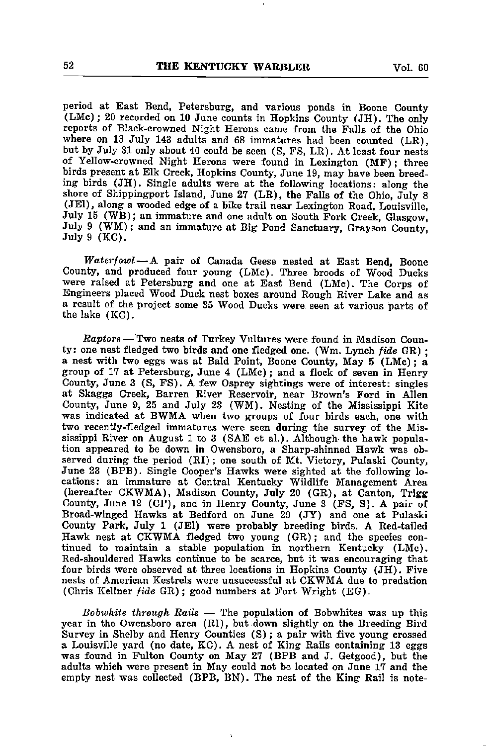period at East Bend, Petersburg, and various ponds in Boone County (LMc); 20 recorded on 10 June counts in Hopkins County (JH). The only reports of Black-crowned Night Herons came from the Falls of the Ohio where on 13 July 143 adults and 68 immatures had been counted (LR), but by July 31 only about 40 could be seen (S, FS, LR). At least four nests of Yellow-crowned Night Herons were found in Lexington (MF); three birds present at Elk Creek, Hopkins County, June 19, may have been breed ing birds (JH). Single adults were at the following locations: along the shore of Shippingport Island, June 27 (LR), the Falls of the Ohio, July 8 (JEl), along a wooded edge of a bike trail near Lexington Road, Louisville, July 15 (WB); an immature and one adult on South Fork Creek, Glasgow, July 9 (WM); and an immature at Big Pond Sanctuary, Grayson County, July 9 (KC).

Waterfowl—A pair of Canada Geese nested at East Bend, Boone County, and produced four young (LMc). Three broods of Wood Ducks were raised at Petersburg and one at East Bend (LMc). The Corps of Engineers placed Wood Duck nest boxes around Rough River Lake and as a result of the project some 35 Wood Ducks were seen at various parts of the lake (KC).

Raptors — Two nests of Turkey Vultures were found in Madison Coun ty: one nest fledged two birds and one fledged one. (Wm. Lynch fide GR) ; a nest with two eggs was at Bald Point, Boone County, May 5 (LMc); a group of 17 at Petersburg, June 4 (LMc); and a flock of seven in Henry County, June 3 (S, FS). A few Osprey sightings were of interest: singles at Skaggs Creek, Barren River Reservoir, near Brown's Ford in Allen County, June 9, 25 and July 23 (WM). Nesting of the Mississippi Kite was indicated at BWMA when two groups of four birds each, one with two recently-fledged immatures were seen during the survey of the Mis sissippi River on August 1 to 3 (SAE et al.). Although the hawk popula tion appeared to be down in Owensboro, a Sharp-shinned Hawk was ob served during the period (RI); one south of Mt. Victory, Pulaski County, June 23 (BPB). Single Cooper's Hawks were sighted at the following lo cations; an immature at Central Kentucky Wildlife Management Area (hereafter CKWMA), Madison County, July 20 (GR), at Canton, Trigg County, June 12 (CP), and in Henry County, June 3 (FS, S). A pair of Broad-winged Hawks at Bedford on June 29 (JY) and one at Pulaski County Park, July 1 (JEl) were probably breeding birds. A Red-tailed Hawk nest at CKWMA fledged two young (GR); and the species con tinued to maintain a stable population in northern Kentucky (LMc). Red-shouldered Hawks continue to be scarce, but it was encouraging that four birds were observed at three locations in Hopkins County (JH). Five nests of American Kestrels were unsuccessful at CKWMA due to predation (Chris Kellner fide GR); good numbers at Fort Wright (EG).

Bobwhite through Rails  $-$  The population of Bobwhites was up this year in the Owensboro area (RI), but down slightly on the Breeding Bird Survey in Shelby and Henry Counties (S); a pair with five young crossed a Louisville yard (no date, KC). A nest of King Rails containing 13 eggs was found in Fulton County on May 27 (BPB and J. Getgood), but the adults which were present in May could not be located on June 17 and the empty nest was collected (BPB, BN). The nest of the King Rail is note-

í,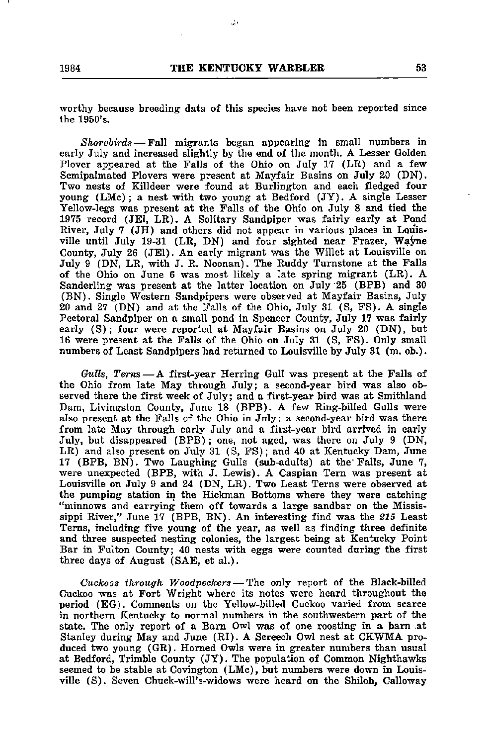المقاد

worthy because breeding data of this species have not been reported since the 1950's.

Shorebirds — Fall migrants began appearing in small numbers in early July and increased slightly by the end of the month. A Lesser Golden Plover appeared at the Falls of the Ohio on July 17 (LR) and a few Semipalmated Plovers were present at Mayfair Basins on July 20 (DN). Two nests of Killdeer were found at Burlington and each fledged four young (LMc); a nest with two young at Bedford (JY). A single Lesser Yellow-legs was present at the Falls of the Ohio on July 8 and tied the 1975 record (JEI, LR). A Solitary Sandpiper was fairly early at Pond River, July 7 ( $JH$ ) and others did not appear in various places in Louisville until July 19-31 (LR, DN) and four sighted near Frazer, Wayne County, July 26 (JEI). An early migrant was the Willet at Louisville on July 9 (DN, LR, with J. R. Noonan). The Ruddy Turnstone at the Falls of the Ohio on June 6 was most likely a late spring migrant (LR). A Sanderling was present at the latter location on July 25 (BPB) and 30 (BN). Single Western Sandpipers were observed at Mayfair Basins, July 20 and 27 (DN) and at the Falls of the Ohio, July 31 (S, FS). A single Pectoral Sandpiper on a small pond in Spencer County, July 17 was fairly early (S); four were reported at Mayfair Basins on July 20 (DN), but 16 were present at the Falls of the Ohio on July 31 (S, FS). Only small numbers of Least Sandpipers had returned to Louisville by July 31 (m. ob.).

Gulls, Terns—A first-year Herring Gull was present at the Falls of the Ohio from late May through July; a second-year bird was also ob served there the first week of July; and a first-year bird was at Smithland Dam, Livingston County, June 18 (BPB). A few Ring-billed Gulls were also present at the Falls of the Ohio in July: a second-year bird was there from late May through early July and a first-year bird arrived in early July, but disappeared (BPB); one, not aged, was there on July 9 (DN, LR) and also present on July 31 (S, FS); and 40 at Kentucky Dam, June 17 (BPB, BN). Two Laughing Gulls (sub-adults) at the" Falls, June 7, were unexpected (BPB, with J. Lewis). A Caspian Tern was present at Louisville on July 9 and 24 (DN, LR). Two Least Terns were observed at the pumping station in the Hickman Bottoms where they were catching "minnows and carrying them off towards a large sandbar on the Missis sippi River," June 17 (BPB, BN). An interesting find was the 215 Least Terns, including five young of the year, as well as finding three definite and three suspected nesting colonies, the largest being at Kentucky Point Bar in Fulton County; 40 nests with eggs were counted during the first three days of August (SAE, et al.).

Cuckoos through Woodpeckers — The only report of the Black-billed Cuckoo was at Fort Wright where its notes were heard throughout the period (EG). Comments on the Yellow-billed Cuckoo varied from scarce in northern Kentucky to normal numbers in the southwestern part of the state. The only report of a Bam Owl was of one roosting in a bam .at Stanley during May and June (RI). A Screech Owl nest at CKWMA pro duced two young (GR). Homed Owls were in greater numbers than usual at Bedford, Trimble County (JY). The population of Common Nighthawks seemed to be stable at Covington (LMc), but numbers were down in Louis ville (S). Seven Chuck-will's-widows were heard on the Shiloh, Galloway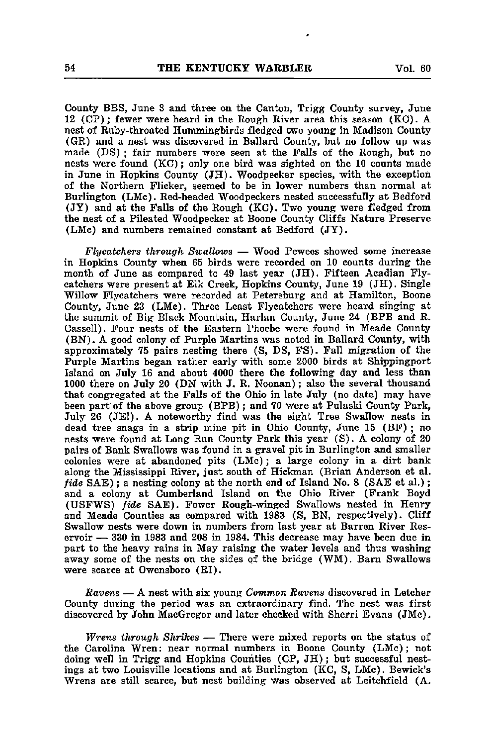County BBS, June 3 and three on the Canton, Trigg County survey, June 12 (CP); fewer were heard in the Rough River area this season (KC). A nest of Ruby-throated Hummingbirds fledged two young in Madison County (GR) and a nest was discovered in Ballard County, but no follow up was made (DS) ; fair numbers were seen at the Falls of the Rough, but no nests were found (KC); only one bird was sighted on the 10 counts made in June in Hopkins County (JH). Woodpecker species, with the exception of the Northern Flicker, seemed to be in lower numbers than normal at Burlington (LMc). Red-headed Woodpeckers nested successfully at Bedford (JY) and at the Falls of the Rough (KC). Two young were fledged from the nest of <sup>a</sup> Pileated Woodpecker at Boone County Cliffs Nature Preserve (LMc) and numbers remained constant at Bedford (JY).

Flycatchers through Swallows — Wood Pewees showed some increase in Hopkins County when 65 birds were recorded on 10 counts during the month of June as compared to 49 last year (JH). Fifteen Acadian Fly catchers were present at Elk Creek, Hopkins County, June 19 (JH). Single Willow Flycatchers were recorded at Petersburg and at Hamilton, Boone County, June 23 (LMc). Three Least Flycatchers were heard singing at the summit of Big Black Mountain, Harlan County, June 24 (BPB and R. Cassell). Four nests of the Eastern Phoebe were found in Meade County (BN). A good colony of Purple Martins was noted in Ballard County, with approximately 75 pairs nesting there (S, DS, FS). Fall migration of the Purple Martins began rather early with some 2000 birds at Shippingport Island on July 16 and about 4000 there the following day and less than 1000 there on July 20 (DN with J. R. Noonan); also the several thousand that congregated at the Falls of the Ohio in late July (no date) may have been part of the above group (BPB); and 70 were at Pulaski County Park, July 26 (JEl). A noteworthy find was the eight Tree Swallow nests in dead tree snags in a strip mine pit in Ohio County, June 15 (BF) ; no nests were found at Long Run County Park this year (S). A colony of 20 pairs of Bank Swallows was found in a gravel pit in Burlington and smaller colonies were at abandoned pits (LMc); a large colony in a dirt bank along the Mississippi River, just south of Hickman (Brian Anderson et al. fide SAE); a nesting colony at the north end of Island No. 8 (SAE et al.); and a colony at Cumberland Island on the Ohio River (Frank Boyd (USFWS) fide SAE). Fewer Rough-winged Swallows nested in Henry and Meade Counties as compared with 1983 (S, BN, respectively). Cliff Swallow nests were down in numbers from last year at Barren River Res ervoir — 330 in 1983 and 208 in 1984. This decrease may have been due in part to the heavy rains in May raising the water levels and thus washing away some of the nests on the sides of the bridge (WM). Barn Swallows were scarce at Owensboro (RI).

Ravens — A nest with six young Common Ravens discovered in Letcher County during the period was an extraordinary find. The nest was first discovered by John MacGregor and later checked with Sherri Evans (JMc).

Wrens through Shrikes — There were mixed reports on the status of the Carolina Wren: near normal numbers in Boone County (LMc); not doing well in Trigg and Hopkins Counties (CP, JH); but successful nest ings at two Louisville locations and at Burlington (KC, S, LMc). Bewick's Wrens are still scarce, but nest building was observed at Leitchfield (A.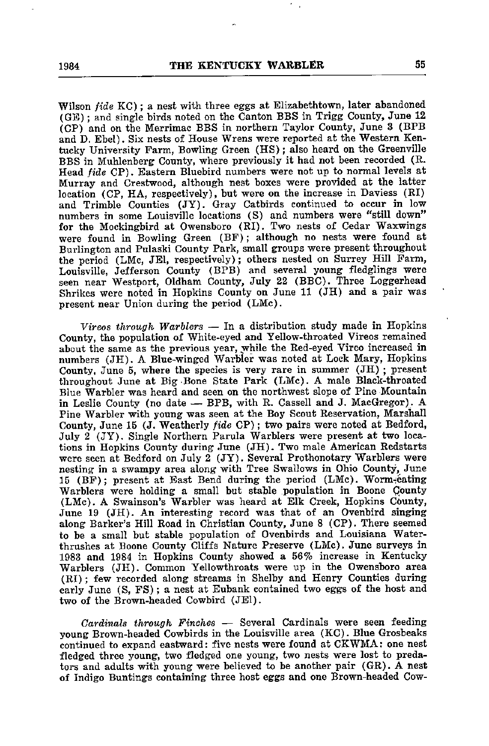Wilson fide KC); a nest with three eggs at Elizabethtown, later abandoned (GE); and single birds noted on the Canton BBS in Trigg County, June 12 (CP) and on the Merrimac BBS in northern Taylor County, June 3 (BPB and D. Ebel). Six nests of House Wrens were reported at the Western Ken tucky University Farm, Bowling Green (HS); also heard on the Greenville BBS in Muhlenherg County, where previously it had not been recorded (R. Head fide CP). Eastern Bluebird numbers were not up to normal levels at Murray and Crestwood, although nest boxes were provided at the latter location (CP, HA, respectively), but were on the increase in Daviess (RI) and Trimble Counties (JY). Gray Catbirds continued to occur in low numbers in some Louisville locations (S) and numbers were "still down" for the Mockingbird at Owensboro (RI). Two nests of Cedar Waxwings were found in Bowling Green (BF); although no nests were found at Burlington and Pulaski County Park, small groups were present throughout the period (LMc, JEl, respectively); others nested on Surrey Hill Farm, Louisville, Jefferson County (BPB) and several young fledglings were seen near Westport, Oldham County, July 22 (BBC). Three Loggerhead Shrikes were noted in Hopkins County on June 11 (JH) and a pair was present near Union during the period (LMc).

Vireos through Warblers — In a distribution study made in Hopkins County, the population of White-eyed and Yellow-throated Vireos remained about the same as the previous year, while the Red-eyed Vireo increased in numbers (JH). A Blue-winged Warbler was noted at Lock Mary, Hopkins County, June 5, where the species is very rare in summer (JH) ; present throughout June at Big -Bone State Park (LMc). A male Black-throated Blue Warbler was heard and seen on the northwest slope of Pine Mountain in Leslie County (no date — BPB, with R. Cassell and J. MacGregor) . A Pine Warbler with young was seen at the Boy Scout Reservation, Marshall County, June 15 (J. Weatherly fide CP); two pairs were noted at Bedford, July 2 (JY). Single Northern Parula Warblers were present at two loca tions in Hopkins County during June (JH). Two male American Redstarts were seen at Bedford on July 2 (JY). Several Prothonotary Warblers were nesting in a swampy area along with Tree Swallows in Ohio County, June 15 (BF); present at East Bend during the period (LMc). Worm^eating Warblers were holding a small but stable population in Boone Qounty (LMc). A Swainson's Warbler was heard at Elk Creek, Hopkins County, June 19 (JH). An interesting record was that of an Ovenbird singing along Barker's Hill Road in Christian County, June 8 (CP). There seemed to be a small but stable population of Ovenbirds and Louisiana Waterthrushes at Boone County Cliffs Nature Preserve (LMc). June surveys in 1983 and 1984 in Hopkins County showed a 56% increase in Kentucky Warblers (JH). Common Yellowthroats were up in the Owensboro area (RI); few recorded along streams in Shelby and Henry Counties during early June (S, FS); a nest at Eubank contained two eggs of the host and two of the Brown-headed Cowbird (JEl).

Cardinals through Finches — Several Cardinals were seen feeding young Brown-headed Cowbirds in the Louisville area (KC). Blue Grosbeaks continued to expand eastward: five nests were found at CKWMA; one nest fledged three young, two fledged one young, two nests were lost to preda tors and adults with young were believed to be another pair (GR). A nest of Indigo Buntings containing three host eggs and one Brown-headed Cow-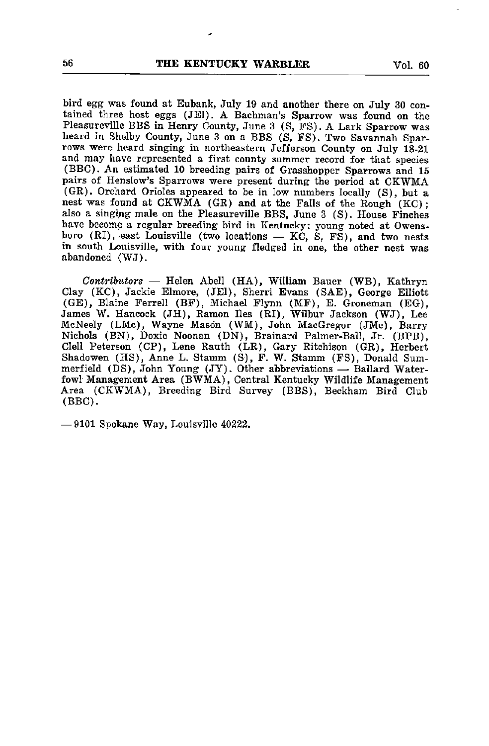bird egg was found at Eubank, July 19 and another there on July 30 con tained three host eggs (JEl). A Bachman's Sparrow was found on the Pleasureville BBS in Henry County, June 3 (S, FS). <sup>A</sup> Lark Sparrow was heard in Shelby County, June 3 on a BBS (S, FS). Two Savannah Spar rows were heard singing in northeastern Jefferson County on July 18-21 and may have represented a first county summer record for that species (BBC). An estimated 10 breeding pairs of Grasshopper Sparrows and 15 pairs of Henslow's Sparrows were present during the period at CKWMA (GR). Orchard Orioles appeared to be in low numbers locally (S), but a nest was found at CKWMA (GR) and at the Falls of the Rough (KC); also a singing male on the Pleasureville BBS, June 3 (S). House Finches have become a regular breeding bird in Kentucky: young noted at Owensboro (RI), east Louisville (two locations — KC, S, FS), and two nests in south Louisville, with four young fledged in one, the other nest was abandoned (WJ).

Contributors — Helen Abell (HA), William Bauer (WB), Kathryn Clay (KC), Jackie Elmore, (JEl), Sherri Evans (SAE), George Elliott (GE), Blaine Ferrell (BF), Michael Flynn (MF), E. Groneman (EG), James W. Hancock (JH), Ramon lies (RI), Wilbur Jackson (WJ), Lee McNeely (LMc), Wayne Mason (WM), John MacGregor (JMc), Barry Nichols (BN), Doxie Noonan (DN), Brainard Palmer-Ball, Jr. (BPB), Clell Peterson (CP), Lene Rauth (LR), Gary Ritchison (GR), Herbert Shadowen (HS), Anne L. Stamm (S), F. W. Stamm (FS), Donald Summerfield (DS), John Young (JY). Other abbreviations — Ballard Water fowl Management Area (BWMA), Central Kentucky Wildlife Management Area (CKWMA), Breeding Bird Survey (BBS), Beckham Bird Club (BBC).

— 9101 Spokane Way, Louisville 40222.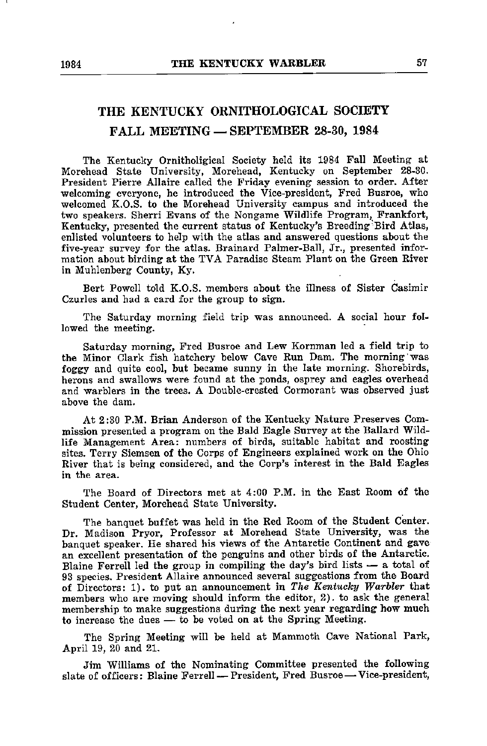#### THE KENTUCKY ORNITHOLOGICAL SOCIETY FALL MEETING — SEPTEMBER 28-30, 1984

The Kentucky Ornitholigical Society held its 1984 Fall Meeting at Morehead State University, Morehead, Kentucky on September 28-30. President Pierre Allaire called the Friday evening session to order. After welcoming everyone, he introduced the Vice-president, Fred Busroe, who welcomed K.O.S. to the Morehead University campus and introduced the two speakers. Sherri Evans of the Nongame Wildlife Program, Frankfort, Kentucky, presented the current status of Kentucky's Breeding Bird Atlas, enlisted volunteers to help with the atlas and answered questions about the five-year survey for the atlas. Brainard Palmer-Ball, Jr., presented infor mation about birding at the TVA Paradise Steam Plant on the Green River in Muhlenberg County, Ky.

Bert Powell told K.O.S. members about the illness of Sister Casimir Czurles and had a card for the group to sign.

The Saturday morning field trip was announced. A social hour fol lowed the meeting.

Saturday morning, Fred Busroe and Lew Kornman led a field trip to the Minor Clark fish hatchery below Cave Run Dam. The morning was foggy and quite cool, but became sunny in the late morning. Shorebirds, herons and swallows were found at the ponds, osprey and eagles overhead and warblers in the trees. A Double-crested Cormorant was observed just above the dam.

At 2:30 P.M. Brian Anderson of the Kentucky Nature Preserves Com mission presented a program on the Bald Eagle Survey at the Ballard Wild life Management Area: numbers of birds, suitable habitat and roosting sites. Terry Siemsen of the Corps of Engineers explained work on the Ohio River that is being considered, and the Corp's interest in the Bald Eagles in the area.

The Board of Directors met at 4:00 P.M. in the East Room of the Student Center, Morehead State University.

The banquet buffet was held in the Red Room of the Student Center. Dr. Madison Pryor, Professor at Morehead State University, was the banquet speaker. He shared his views of the Antarctic Continent and gave an excellent presentation of the penguins and other birds of the Antarctic. Blaine Ferrell led the group in compiling the day's bird lists — a total of 93 species. President Allaire announced several suggestions from the Board of Directors: 1). to put an announcement in The Kentucky Warbler that members who are moving should inform the editor, 2). to ask the general membership to make suggestions during the next year regarding how much to increase the dues — to be voted on at the Spring Meeting.

The Spring Meeting will be held at Mammoth Cave National Park, April 19, 20 and 21.

Jim Williams of the Nominating Committee presented the following slate of officers: Blaine Ferrell — President, Fred Busroe—Vice-president,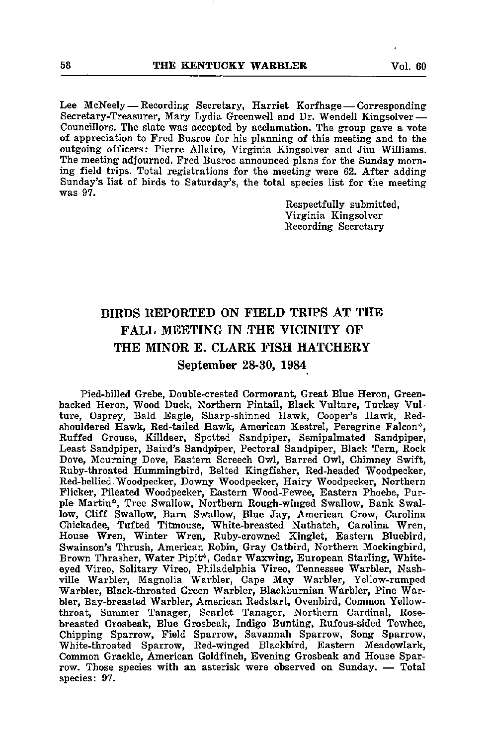Lee McNeely — Recording Secretary, Harriet Korfhage — Corresponding Secretary-Treasurer, Mary Lydia Greenwell and Dr. Wendell Kingsolver — Councillors. The slate was accepted by acclamation. The group gave a vote of appreciation to Fred Busroe for his planning of this meeting and to the outgoing officers: Pierre Allaire, Virginia Kingsolver and Jim Williams. The meeting adjourned. Fred Busroe announced plans for the Sunday morn ing field trips. Total registrations for the meeting were 62. After adding Sunday's list of birds to Saturday's, the total species list for the meeting was 97.

> Respectfully submitted, Virginia Kingsolver Recording Secretary

#### BIRDS REPORTED ON FIELD TRIPS AT THE FALL MEETING IN THE VICINITY OF THE MINOR E. CLARK FISH HATCHERY September 28-30, 1984

Pied-billed Grebe, Double-erested Cormorant, Great Blue Heron, Greenbacked Heron, Wood Duck, Northern Pintail, Black Vulture, Turkey Vul ture, Osprey, Bald Eagle, Sharp-shinned Hawk, Cooper's Hawk, Redshouldered Hawk, Red-tailed Hawk, American Kestrel, Peregrine Falcon'', Ruffed Grouse, Killdeer, Spotted Sandpiper, Semipalmated Sandpiper, Least Sandpiper, Baird's Sandpiper, Pectoral Sandpiper, Black Tern, Rock Dove, Mourning Dove, Eastern Screech Owl, Barred Owl, Chimney Swift, Ruby-throated Hummingbird, Belted Kingfisher, Red-headed Woodpecker, Red-bellied. Woodpecker, Downy Woodpecker, Hairy Woodpecker, Northern Flicker, Pileated Woodpecker, Eastern Wood-Pewee, Eastern Phoebe, Purple Martin\*, Tree Swallow, Northern Rough-winged Swallow, Bank Swal low, Cliff Swallow, Bam Swallow, Blue Jay, American Crow, Carolina Chickadee, Tufted Titmouse, White-breasted Nuthatch, Carolina Wren, House Wren, Winter Wren, Ruby-crowned Kinglet, Eastern Bluebird, Swainson's Thrush, American Robin, Gray Catbird, Northern Mockingbird, Brown Thrasher, Water Pipit", Cedar Waxwing, European Starling, Whiteeyed Vireo, Solitary Vireo, Philadelphia Vireo, Tennessee Warbler, Nash ville Warbler, Magnolia Warbler, Cape May Warbler, Yellow-rumped Warbler, Black-throated Green Warbler, Blackburnian Warbler, Pine War bler, Bay-breasted Warbler, American Redstart, Ovenbird, Common Yellowthroat, Summer Tanager, Scarlet Tanager, Northern Cardinal, Rosebreasted Grosbeak, Blue Grosbeak, Indigo Bunting, Rufous-sided Towhee, Chipping Sparrow, Field Sparrow, Savannah Sparrow, Song Sparrow, White-throated Sparrow, Red-winged Blackbird, Eastern Meadowlark, Common Grackle, American Goldfinch, Evening Grosbeak and House Spar row. Those species with an asterisk were observed on Sunday. — Total species: 97.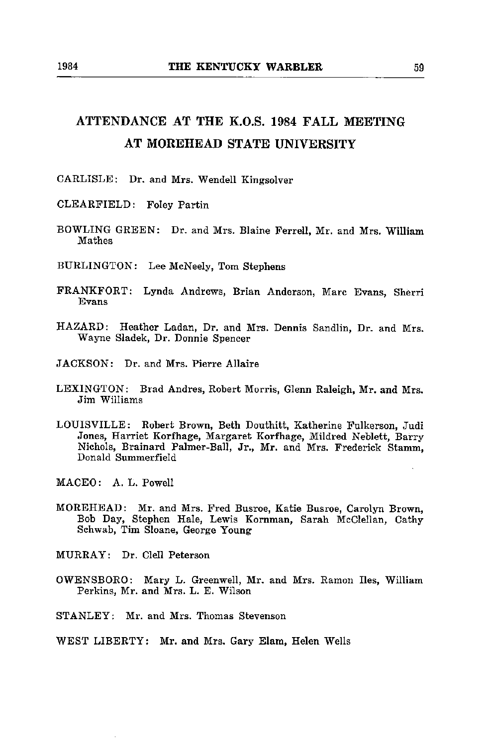#### ATTENDANCE AT THE K.O.S. 1984 FALL MEETING AT MOREHEAD STATE UNIVERSITY

CARLISLE: Dr. and Mrs. Wendell Kingsolver

- CLEARFIELD: Foley Partin
- BOWLING GREEN: Dr. and Mrs. Blaine Perrell, Mr. and Mrs. William Mathes
- BURLINGTON: Lee McNeely, Tom Stephens
- FRANKFORT: Lynda Andrews, Brian Anderson, Marc Evans, Sherri Evans
- HAZARD: Heather Ladan, Dr. and Mrs. Dennis Sandlin, Dr. and Mrs. Wayne Sladek, Dr. Donnie Spencer
- JACKSON: Dr. and Mrs. Pierre Allaire
- LEXINGTON: Brad Andres, Robert Morris, Glenn Raleigh, Mr. and Mrs. Jim Williams
- LOUISVILLE: Robert Brown, Beth Douthitt, Katherine Fulkerson, Judi Jones, Harriet Korfhage, Margaret Korfhage, Mildred Neblett, Barry Nichols, Brainard Palmer-Ball, Jr., Mr. and Mrs. Frederick Stamm, Donald Summerfield
- MACEO: A. L. Powell
- MOREHEAD: Mr. and Mrs. Fred Busroe, Katie Busroe, Carolyn Brown, Bob Day, Stephen Hale, Lewis Komman, Sarah McClellan, Cathy Schwab, Tim Sloane, George Young

MURRAY: Dr. Clell Peterson

- OWENSBORO: Mary L. Greenwell, Mr. and Mrs. Ramon lies, William Perkins, Mr. and Mrs. L. E. Wilson
- STANLEY: Mr. and Mrs. Thomas Stevenson
- WEST LIBERTY: Mr. and Mrs. Gary Elam, Helen Wells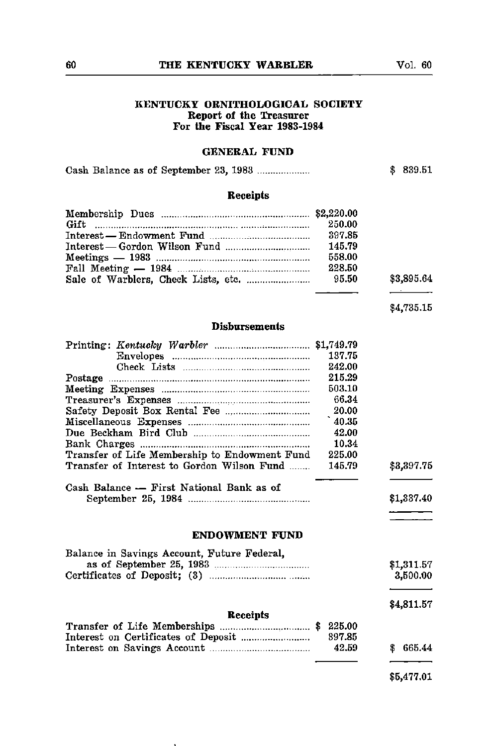#### 60 THE KENTUCKY WARBLER

#### KENTUCKY ORNITHOLOGICAL SOCIETY Report of the Treasurer For the Fiscal Year 1983-1984

#### GENERAL FUND

|  |  |  |  | \$839.51 |
|--|--|--|--|----------|
|--|--|--|--|----------|

#### Receipts

| 250.00 |            |
|--------|------------|
|        |            |
| 145.79 |            |
| 558.00 |            |
| 228.50 |            |
|        | \$3,895.64 |

\$4,735.15

#### Disbursements

|                                               | 137.75 |             |
|-----------------------------------------------|--------|-------------|
|                                               | 242.00 |             |
|                                               | 215.29 |             |
|                                               | 503.10 |             |
|                                               | 66.34  |             |
|                                               | 20.00  |             |
|                                               | 40.35  |             |
|                                               | 42.00  |             |
|                                               | 10.34  |             |
| Transfer of Life Membership to Endowment Fund | 225.00 |             |
| Transfer of Interest to Gordon Wilson Fund    | 145.79 | \$3,397.75  |
| Cash Balance - First National Bank as of      |        | \$1,337.40  |
| <b>ENDOWMENT FUND</b>                         |        |             |
| Balance in Savings Account, Future Federal,   |        |             |
|                                               |        | \$1,311.57  |
|                                               |        | 3,500.00    |
|                                               |        | \$4,811.57  |
| Receipts                                      |        |             |
|                                               | 225.00 |             |
|                                               | 397.85 |             |
|                                               | 42.59  | 665.44<br>S |
|                                               |        |             |

5,477.01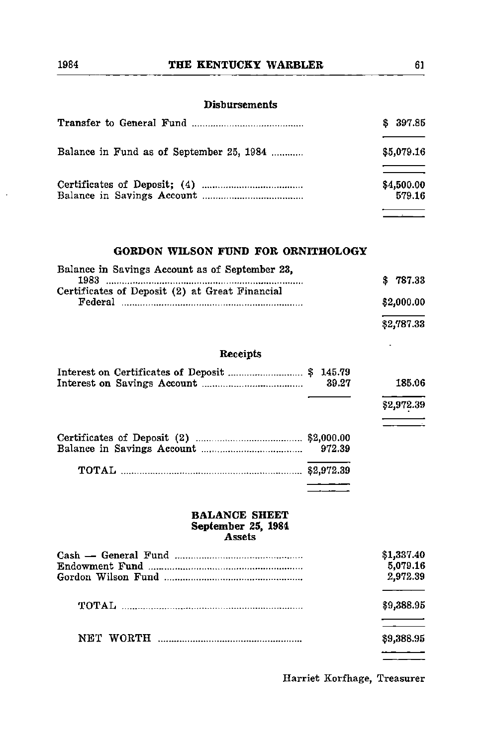|                                          | \$397.85             |
|------------------------------------------|----------------------|
| Balance in Fund as of September 25, 1984 | \$5,079.16           |
|                                          | \$4,500.00<br>579.16 |
|                                          |                      |

#### GORDON WILSON FUND FOR ORNITHOLOGY

| Balance in Savings Account as of September 23. |            |
|------------------------------------------------|------------|
| 1983                                           | \$787.33   |
| Certificates of Deposit (2) at Great Financial |            |
| Federal                                        | \$2,000.00 |
|                                                | \$2,787.33 |

#### Receipts

| -39.27 | 185.06     |
|--------|------------|
|        | \$2,972.39 |
|        |            |
|        |            |

#### BALANCE SHEET September 25, 1984 Assets

| \$1,337.40<br>5.079.16<br>2.972.39 |
|------------------------------------|
| \$9,388.95                         |
| \$9,388.95                         |
|                                    |

Harriet Korfhage, Treasurer

<u>a sa si</u>

 $\mathbf{r}$ 

 $\ddot{\phantom{a}}$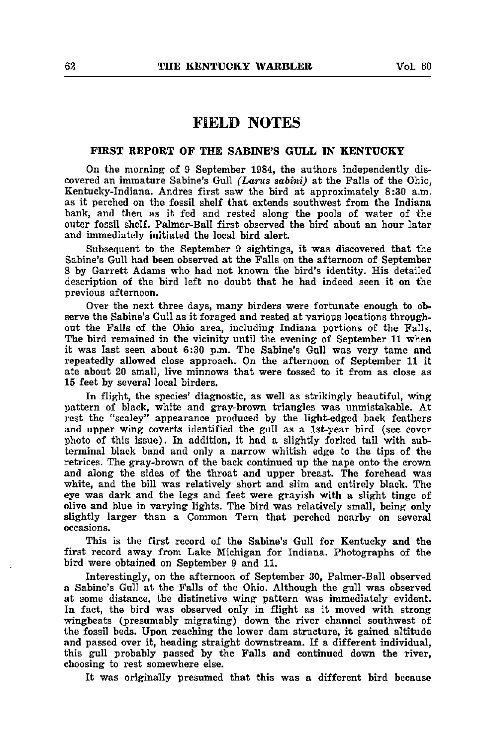#### FIELD NOTES

#### FIRST REPORT OF THE SABINE'S GULL IN KENTUCKY

On the morning of 9 September 1984, the authors independently dis covered an immature Sabine's Gull (Larus sabini) at the Falls of the Ohio, Kentucky-Indiana. Andres first saw the bird at approximately 8:30 a.m. as it perched on the fossil shelf that extends southwest from the Indiana bank, and then as it fed and rested along the pools of water of the outer fossil shelf. Palmer-Ball first observed the bird about an hour later and immediately initiated the local bird alert.

Subsequent to the September 9 sightings, it was discovered that the Sabine's Gull had been observed at the Falls on the afternoon of September 8 by Garrett Adams who had not known the bird's identity. His detailed description of the bird left no doubt that he had indeed seen it on the previous afternoon.

Over the next three days, many birders were fortunate enough to ob serve the Sabine's Gull as it foraged and rested at various locations through out the Falls of the Ohio area, including Indiana portions of the Palls. The bird remained in the vicinity until the evening of September 11 when it was last seen about 6:30 p.m. The Sabine's Gull was very tame and repeatedly allowed close approach. On the afternoon of September 11 it ate about 20 small, live minnows that were tossed to it from as close as 15 feet by several local birders.

In flight, the species' diagnostic, as well as strikingly beautiful, wing pattern of black, white and gray-brown triangles was tmmistakable. At rest the "scaley" appearance produced by the light-edged back feathers and upper wing coverts identified the gull as a Ist-year bird (see cover photo of this issue). In addition, it had a slightly forked tail with subterminal black band and only a narrow whitish edge to the tips of the retrices. The gray-brown of the back continued up the nape onto the crown and along the sides of the throat and upper breast. The forehead was white, and the bill was relatively short and slim and entirely black. The eye was dark and the legs and feet were grayish with a slight tinge of olive and blue in varying lights. The bird was relatively small, being only slightly larger than a Common Tern that perched nearby on several occasions.

This is the first record of the Sabine's Gull for Kentucky and the first record away from Lake Michigan for Indiana. Photographs of the bird were obtained on September 9 and 11.

Interestingly, on the afternoon of September 30, Palmer-Ball observed a Sabine's Gull at the Falls of the Ohio. Although the gull was observed at some distance, the distinctive wing pattern was immediately evident. In fact, the bird was observed only in flight as it moved with strong wingbeats (presumably migrating) down the river channel southwest of the fossil beds. Upon reaching the lower dam structure, it gained altitude and passed over it, heading straight downstream. If a different individual, this gull probably passed by the Falls and continued down the river, choosing to rest somewhere else.

It was originally presumed that this was <sup>a</sup> different bird because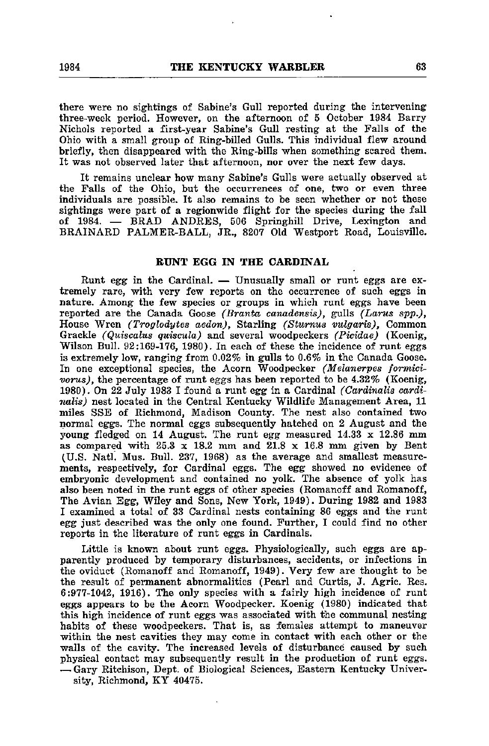there were no sightings of Sabine's Gull reported during the intervening three-week period. However, on the afternoon of 5 October 1984 Barry Nichols reported a first-year Sabine's Gull resting at the Falls of the Ohio with a small group of Ring-billed Gulls. This individual flew around briefly, then disappeared with the Ring-bills when something scared them. It was not observed later that afternoon, nor over the next few days.

It remains unclear how many Sabine's Gulls were actually observed at the Falls of the Ohio, but the occurrences of one, two or even three individuals are possible. It also remains to be seen whether or not these sightings were part of a regionwide flight for the species during the fall of 1984. — BRAD ANDRES, 506 Springhill Drive, Lexington and BRAINARD PALMER-BALL, JR., 8207 Old Westport Road, Louisville.

#### RUNT EGG IN THE CARDINAL

Runt egg in the Cardinal. — Unusually small or runt eggs are ex tremely rare, with very few reports on the occurrence of such eggs in nature. Among the few species or groups in which runt eggs have been reported are the Canada Goose (Branta canadensis), gulls (Larus spp.), House Wren (Troglodytes aedon). Starling (Stumus vulgaris), Common Grackle (Quiscalus quiscula) and several woodpeckers (Picidae) (Koenig, Wilson Bull. 92:169-176, 1980). In each of these the incidence of runt eggs is extremely low, ranging from 0.02% in gulls to 0.6% in the Canada Goose. In one exceptional species, the Acorn Woodpecker (Melanerpes formicivorus), the percentage of runt eggs has been reported to be 4.82% (Koenig, 1980). On 22 July 1983 I found a runt egg in a Cardinal (Cardinalis cardinalis) nest located in the Central Kentucky Wildlife Management Area, 11 miles SSE of Richmond, Madison County. The nest also contained two normal eggs. The normal eggs subsequently hatched on 2 August and the young fledged on 14 August. The runt egg measured 14.33 x 12.86 mm as compared with  $25.3 \times 18.2$  mm and  $21.8 \times 16.8$  mm given by Bent (U.S. Natl. Mus. Bull. 237, 1968) as the average and smallest measure ments, respectively, for Cardinal eggs. The egg showed no evidence of embryonic development and contained no yolk. The absence of yolk has also been noted in the runt eggs of other species (Romanoff and Romanoff, The Avian Egg, Wiley and Sons, New York, 1949). During 1982 and 1983 I examined a total of 33 Cardinal nests containing 86 eggs and the runt egg just described was the only one found. Further, I could find no other reports in the literature of runt eggs in Cardinals.

Little is known about runt eggs. Physiologically, such eggs are ap parently produced by temporary disturbances, accidents, or infections in the oviduct (Romanoff and Romanoff, 1949). Very few are thought to be the result of permanent abnormalities (Pearl and Curtis, J. Agric. Res. 6:977-1042, 1916). The only species with a fairly high incidence of runt eggs appears to be the Acorn Woodpecker. Koenig (1980) indicated that this high incidence of runt eggs was associated with the communal nesting habits of these woodpeckers. That is, as females attempt to maneuver within the nest cavities they may come in contact with each other or the walls of the cavity. The increased levels of disturbance caused by such physical contact may subsequently result in the production of runt eggs. — Gary Ritchison, Dept. of Biological Sciences, Eastern Kentucky Univer sity, Richmond, KY 40475.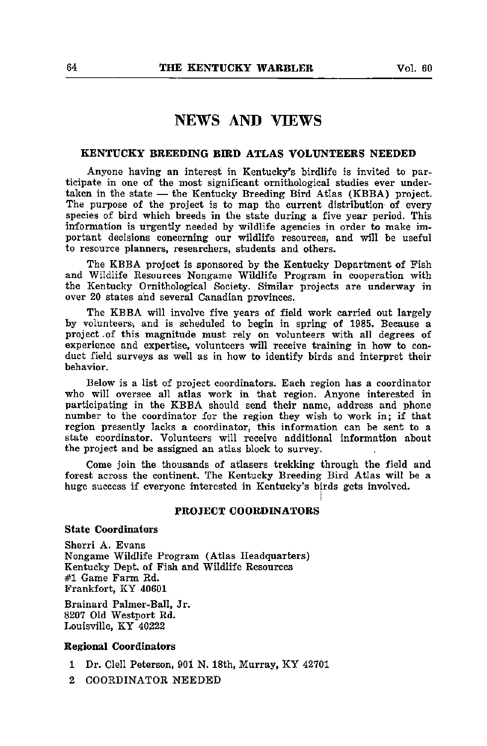#### NEWS AND VIEWS

#### KENTUCKY BREEDING BIRD ATLAS VOLUNTEERS NEEDED

Anyone having an interest in Kentucky's birdlife is invited to par ticipate in one of the most significant ornithological studies ever under taken in the state — the Kentucky Breeding Bird Atlas (KBBA) project. The purpose of the project is to map the current distribution of every species of bird which breeds in the state during a five year period. This information is urgently needed by wildlife agencies in order to make im portant decisions concerning our wildlife resources, and will be useful to resource planners, researchers, students and others.

The KBBA project is sponsored by the Kentucky Department of Fish and Wildlife Resources Nongame Wildlife Program in cooperation with the Kentucky Ornithological Society. Similar projects are underway in over 20 states and several Canadian provinces.

The KBBA will involve five years of field work carried out largely by volunteers, and is scheduled to begin in spring of 1985. Because a project.of this magnitude must rely on volunteers with all degrees of experience and expertise, volunteers will receive training in how to con duct field surveys as well as in how to identify birds and interpret their behavior.

Below is a list of project coordinators. Each region has a coordinator who will oversee all atlas work in that region. Anyone interested in participating in the KBBA should send their name, address and phone number to the coordinator for the region they wish to work in; if that region presently lacks a coordinator, this information can be sent to a state coordinator. Volunteers will receive additional information about the project and be assigned an atlas block to survey.

Come join the thousands of atlasers trekking through the field and forest across the continent. The Kentucky Breeding Bird Atlas will be a huge success if everyone interested in Kentucky's birds gets involved.

#### PROJECT COORDINATORS

i

State Coordinators

Sherri A. Evans Nongame Wildlife Program (Atlas Headquarters) Kentucky Dept. of Fish and Wildlife Resources #1 Game Farm Rd. Frankfort, KY 40601

Brainard Palmer-Ball, Jr. 8207 Old Westport Rd. Louisville, KY 40222

#### Regional Coordinators

- 1 Dr. Clell Peterson, 901 N. 18th, Murray, KY 42701
- 2 COORDINATOR NEEDED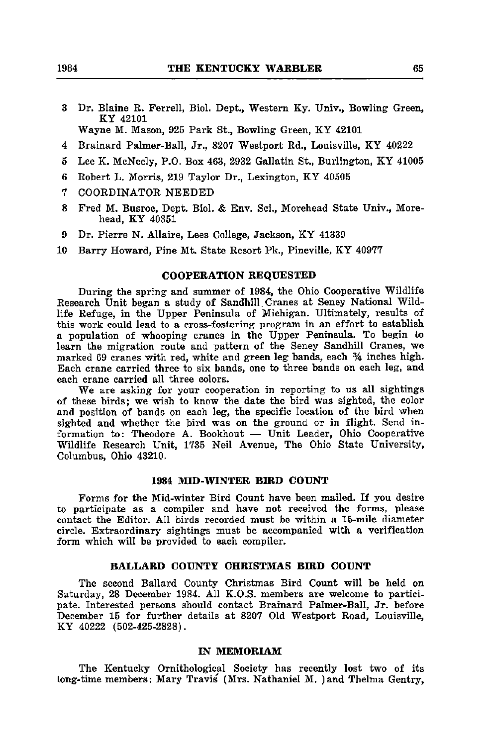3 Dr. Blaine R. Ferrell, Biol. Dept., Western Ky. Univ., Bowling Green, KY 42101

Wayne M. Mason, 925 Park St., Bowling Green, KY 42101

- 4 Brainard Palmer-Ball, Jr., 8207 Westport Rd., Louisville, KY 40222
- 5 Lee K. McNeely, P.O. Box 463, 2932 Gallatin St., Burlington, KY 41005
- 6 Robert L. Morris, 219 Taylor Dr., Lexington, KY 40505
- <sup>7</sup> COORDINATOR NEEDED
- 8 Fred M. Busroe, Dept. Biol. & Env. Sci., Morehead State Univ., Morehead, KY 40351
- 9 Dr. Pierre N. Allaire, Lees College, Jackson, KY 41339
- 10 Barry Howard, Pine Mt. State Resort Pk., Pineville, KY 40977

#### COOPERATION REQUESTED

During the spring and summer of 1984, the Ohio Cooperative Wildlife Research Unit began a study of Sandhill. Cranes at Seney National Wild life Refuge, in the Upper Peninsula of Michigan. Ultimately, results of this work could lead to a cross-fostering program in an effort to establish a population of whooping cranes in the Upper Peninsula. To begin to learn the migration route and pattern of the Seney Sandhill Cranes, we marked 69 cranes with red, white and green leg bands, each % inches high. Each crane carried three to six bands, one to three bands on each leg, and each crane carried all three colors.

We are asking for your cooperation in reporting to us all sightings of these birds; we wish to know the date the bird was sighted, the color and position of bands on each leg, the specific location of the bird when sighted and whether the bird was on the ground or in flight. Send in formation to: Theodore A. Bookhout — Unit Leader, Ohio Cooperative Wildlife Research Unit, 1735 Neil Avenue, The Ohio State University, Columbus, Ohio 43210.

#### 1984 MID-WINTER BIRD COUNT

Forms for the Mid-winter Bird Count have been mailed. If you desire to participate as a compiler and have not received the forms, please contact the Editor. All birds recorded must be within a 15-mile diameter circle. Extraordinary sightings must be accompanied with a verification form which will be provided to each compiler.

#### BALLARD COUNTY CHRISTMAS BIRD COUNT

The second Ballard County Christmas Bird Count will be held on Saturday, 28 December 1984. All K.O.S. members are welcome to partici pate. Interested persons should contact Brainard Palmer-Ball, Jr. before December 15 for further details at 8207 Old Westport Road, Louisville, KY 40222 (502-425-2828).

#### IN MEMORIAM

The Kentucky Ornithological Society has recently lost two of its long-time members: Mary Travis' (Mrs. Nathaniel M. )and Thelma Gentry,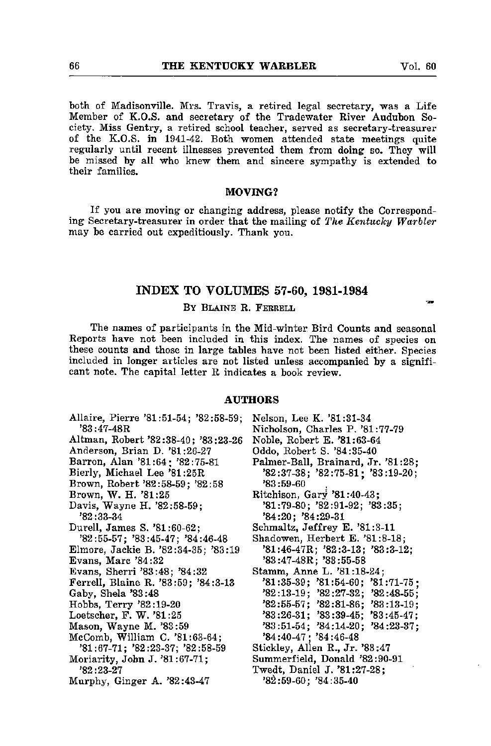both of Madisonville. Mrs. Travis, a retired legal secretary, was a Life Member of K.O.S. and secretary of the Tradewater River Audubon So ciety. Miss Gentry, a retired school teacher, served as secretary-treasurer of the K.O.S. in 1941-42. Both women attended state meetings quite regularly until recent illnesses prevented them from doing so. They will

MOVING?

be missed by all who knew them and sincere sympathy is extended to

If you are moving or changing address, please notify the Correspond ing Secretary-treasurer in order that the mailing of The Kentucky Warbler may be carried out expeditiously. Thank you.

#### INDEX TO VOLUMES 57-60, 1981-1984

#### BY BLAINE R. FERRELL

The names of participants in the Mid-winter Bird Counts and seasonal Reports have not been included in this index. The names of species on these counts and those in large tables have not been listed either. Species included in longer articles are not listed unless accompanied by a signifi cant note. The capital letter R indicates a book review.

#### AUTHORS

Allaire, Pierre '81:51-54; '82:58-59; '83:47-48R Altman, Robert '82:38-40; '83:23-26 Anderson, Brian D. '81:26-27 Barren, Alan '81:64; '82:75-81 Bierly, Michael Lee '81:25R Brown, Robert '82:58-59; '82:58 Brown, W. H. '81:25 Davis, Wayne H. '82:58-59; '82:33-34 Durell, James S. '81:60-62; '82:55-57; '83:45-47; '84:46-48 Elmore, Jackie B. '82:34-35; '83:19 Evans, Marc '84:32 Evans, Sherri '83:48; '84:32 Ferrell, Blaine R. '83:59; '84:3-13 Gaby, Shela '83:48 Hobbs, Terry '82:19-20 Loetscher, F. W. '81:25 Mason, Wayne M. '83:59 McComb, William C. '81:63-64; '81:67-71; '82:23-37; '82:58-59 Moriarity, John J. '81:67-71; '82 "23-27 Murphy, Ginger A. '82:43-47 Nelson, Lee K. '81:31-34 Nicholson, Charles P. '81:77-79 Noble, Robert E. '81:63-64 Oddo, Robert S. '84:35-40 Palmer-Ball, Brainard, Jr. '81:28; '82:37-38; '82:75-81; '83:19-20; '83:59-60 , Ritchison, Gary '81:40-43; '81:79-80; '82:91-92; '83:35; '84:20; '84:29-31 Schmaltz, Jeffrey E. '81:3-11 Shadowen, Herbert E. '81:8-18; '81:46-47R; '82:3-13; '83:3-12; '83:47-48R; '83:55-58 Stamm, Anne L. '81:18-24; '81:35-39; '81:54-60; '81:71-75 '82:13-19; '82:27-32; '82:48-55 '82:55-57; '82:81-86; '83:13-19 '83:26-31; '83:39-45; '83:45-47 '83:51-54; '84:14-20; '84:23-37 '84:40-47; '84:46-48 Stickley, Allen R., Jr. '83:47 Summerfield, Donald '82:90-91 Twedt, Daniel J. '81:27-28; '8^:59-60; '84:35-40

their families.

70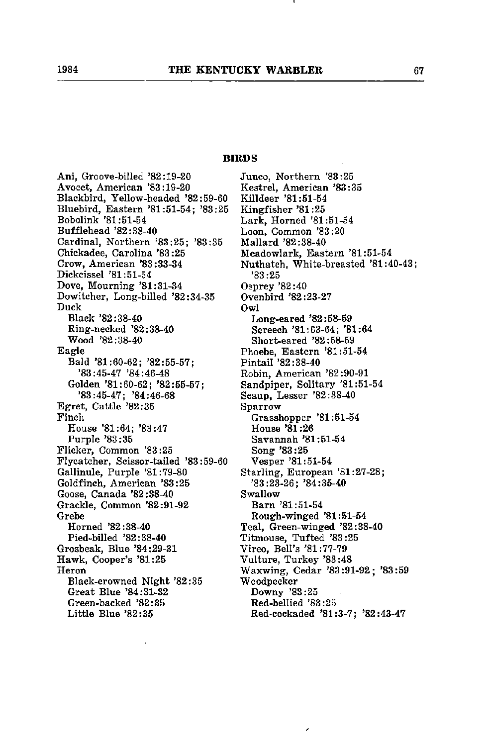#### BIRDS

Ani, Groove-billed '82:19-20 Avocet, American '83:19-20 Blackbird, Yellow-headed '82:59-60 Bluebird, Eastern '81:51-54; '83:25 Bobolink '81:51-54 Bufflehead '82:38-40 Cardinal, Northern '83:25; '83:35 Chickadee, Carolina '83:25 Crow, American '83:33-34 Dickcissel '81:51-54 Dove, Mourning '81:31-34 Dowitcher, Long-billed '82:34-35 Duck Black '82:38-40 Ring-necked '82:38-40 Wood '82:38-40 Eagle Bald '81:60-62; '82:55-57; '83:45-47 '84:46-48 Golden '81:60-62; '82:55-57; '83:45-47; '84:46-68 Egret, Cattle '82:35 Finch House '81:64; '83:47 Purple '83:35 Flicker, Common '83:25 Flycatcher, Scissor-tailed '83:59-60 Gallinule, Purple '81:79-80 Goldfinch, American '83:25 Goose, Canada '82:38-40 Grackle, Common '82:91-92 Grebe Horned '82:38-40 Pied-billed '82:38-40 Grosbeak, Blue '84:29-31 Hawk, Cooper's '81:25 Heron Black-crowned Night '82:35 Great Blue '84:31-32 Green-backed '82:35 Little Blue '82:35

Junco, Northern '83:25 Kestrel, American '83:35 Killdeer '81:51-54 Kingfisher '81:25 Lark, Horned '81:51-54 Loon, Common '83:20 Mallard '82:38-40 Meadowlark, Eastern '81:51-54 Nuthatch, White-breasted '81:40-43; '83:25 Osprey '82:40 Ovenbird '82:23-27 Owl Long-eared '82:58-59 Screech '81:63-64; '81:64 Short-eared '82:58-59 Phoebe, Eastern '81:51-54 Pintail '82:38-40 Robin, American '82:90-91 Sandpiper, Solitary '81:51-54 Scaup, Lesser '82:38-40 Sparrow Grasshopper '81:51-54 House '81:26 Savannah '81:51-54 Song '83:25 Vesper '81:51-54 Starling, European '81:27-28; '83:23-26; '84:35-40 Swallow Bam '81:51-54 Rough-winged '81:51-54 Teal, Green-winged '82:38-40 Titmouse, Tufted '83:25 Vireo, Bell's '81:77-79 Vulture, Turkey '83:48 Waxwing, Cedar '83:91-92; '83:59 Woodpecker Downy '83:25 Red-bellied '83:25 Red-cockaded '81:3-7; '82:43-47